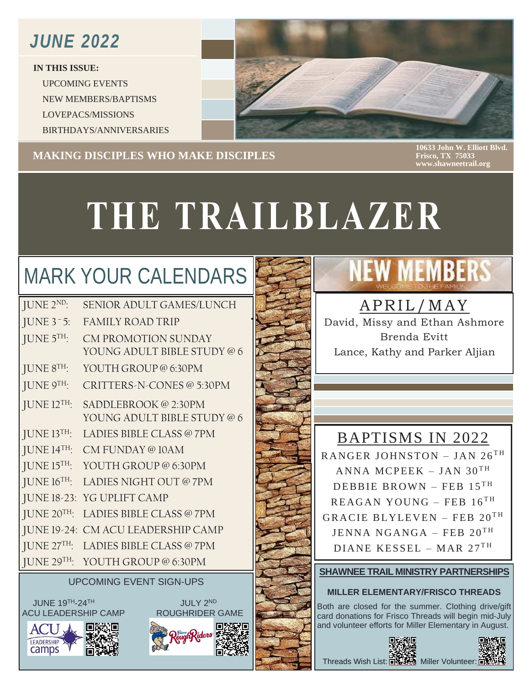### *JUNE 2022*

**IN THIS ISSUE:** UPCOMING EVENTS NEW MEMBERS/BAPTISMS LOVEPACS/MISSIONS BIRTHDAYS/ANNIVERSARIES



#### I **MAKING DISCIPLES WHO MAKE DISCIPLES**

**10633 John W. Elliott Blvd. Frisco, TX 75033 www.shawneetrail.org**

# **THE TRAILBLAZER**

### MARK YOUR CALENDARS

| JUNE 2 <sup>ND</sup>      | <b>SENIOR ADULT GAMES/LUNCH</b>                           |
|---------------------------|-----------------------------------------------------------|
| JUNE $3-5$ :              | <b>FAMILY ROAD TRIP</b>                                   |
| JUNE 5TH:                 | <b>CM PROMOTION SUNDAY</b><br>YOUNG ADULT BIBLE STUDY @ 6 |
| JUNE 8TH:                 | YOUTH GROUP @ 6:30PM                                      |
| JUNE 9 <sup>TH</sup>      | CRITTERS-N-CONES @ 5:30PM                                 |
| JUNE $12$ <sup>TH</sup> : | SADDLEBROOK @ 2:30PM<br>YOUNG ADULT BIBLE STUDY @ 6       |
| JUNE 13 <sup>TH</sup>     | LADIES BIBLE CLASS @ 7PM                                  |
| JUNE $14$ <sup>TH</sup> : | CM FUNDAY @ 10AM                                          |
| JUNE 15TH:                | YOUTH GROUP @ 6:30PM                                      |
| JUNE 16 <sup>TH</sup>     | LADIES NIGHT OUT @7PM                                     |
| JUNE 18-23:               | YG UPLIFT CAMP                                            |
| JUNE 20TH:                | LADIES BIBLE CLASS @ 7PM                                  |
| JUNE 19-24:               | CM ACU LEADERSHIP CAMP                                    |
| JUNE 27 <sup>TH</sup>     | LADIES BIBLE CLASS @ 7PM                                  |
| JUNE 29TH:                | YOUTH GROUP @ 6:30PM                                      |

### UPCOMING EVENT SIGN-UPS

JUNE 19<sup>TH</sup>-24<sup>TH</sup> 30 NM 30 JULY 2<sup>ND</sup> ACU LEADERSHIP CAMP ROUGHRIDER GAME







## **NEW MEMBERS**

### APRIL/MAY

David, Missy and Ethan Ashmore Brenda Evitt Lance, Kathy and Parker Aljian

### BAPTISMS IN 2022

RANGER JOHNSTON - JAN  $26^{TH}$ ANNA MCPEEK – JAN 30<sup>TH</sup> DEBBIE BROWN – FEB  $15^{TH}$  $REAGAN$  YOUNG – FEB  $16$ <sup>TH</sup> GRACIE BLYLEVEN – FEB  $20^{TH}$  $\rm JENNA$   $\rm NGANGA$  – FEB  $\rm 20^{TH}$ DIANE KESSEL – MAR  $27<sup>TH</sup>$ 

### **SHAWNEE TRAIL MINISTRY PARTNERSHIPS**

#### **MILLER ELEMENTARY/FRISCO THREADS**

Both are closed for the summer. Clothing drive/gift card donations for Frisco Threads will begin mid-July and volunteer efforts for Miller Elementary in August.